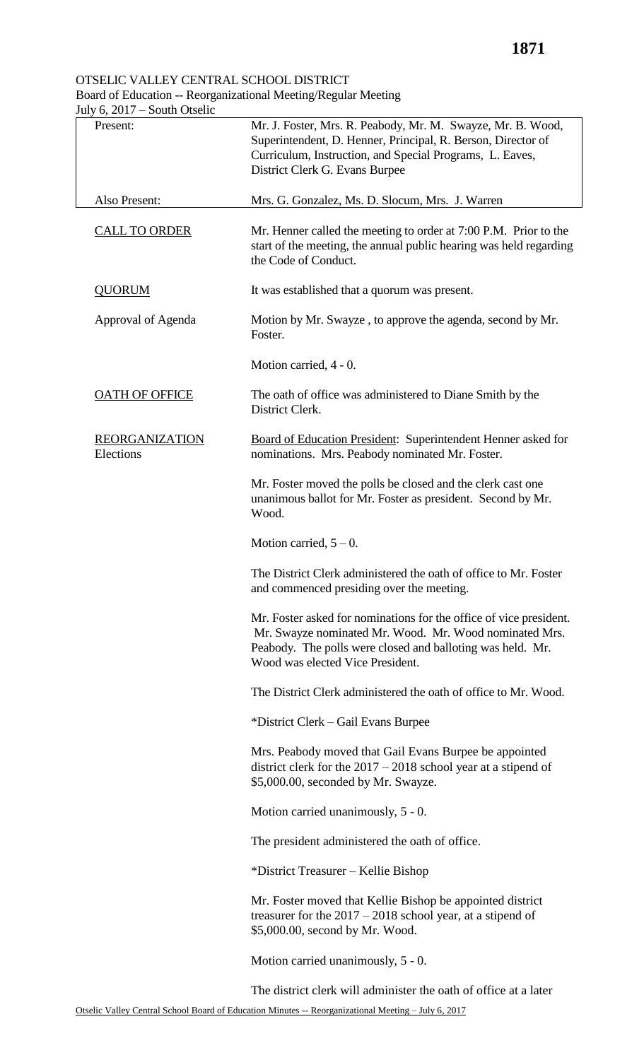## OTSELIC VALLEY CENTRAL SCHOOL DISTRICT Board of Education -- Reorganizational Meeting/Regular Meeting

July 6, 2017 – South Otselic Present: Also Present: Mr. J. Foster, Mrs. R. Peabody, Mr. M. Swayze, Mr. B. Wood, Superintendent, D. Henner, Principal, R. Berson, Director of Curriculum, Instruction, and Special Programs, L. Eaves, District Clerk G. Evans Burpee Mrs. G. Gonzalez, Ms. D. Slocum, Mrs. J. Warren CALL TO ORDER Mr. Henner called the meeting to order at 7:00 P.M. Prior to the start of the meeting, the annual public hearing was held regarding the Code of Conduct. QUORUM Approval of Agenda It was established that a quorum was present. Motion by Mr. Swayze , to approve the agenda, second by Mr. Foster. Motion carried, 4 - 0. **OATH OF OFFICE** The oath of office was administered to Diane Smith by the District Clerk. REORGANIZATION Elections Board of Education President: Superintendent Henner asked for nominations. Mrs. Peabody nominated Mr. Foster. Mr. Foster moved the polls be closed and the clerk cast one unanimous ballot for Mr. Foster as president. Second by Mr. Wood. Motion carried,  $5 - 0$ . The District Clerk administered the oath of office to Mr. Foster and commenced presiding over the meeting. Mr. Foster asked for nominations for the office of vice president. Mr. Swayze nominated Mr. Wood. Mr. Wood nominated Mrs. Peabody. The polls were closed and balloting was held. Mr. Wood was elected Vice President. The District Clerk administered the oath of office to Mr. Wood. \*District Clerk – Gail Evans Burpee Mrs. Peabody moved that Gail Evans Burpee be appointed district clerk for the 2017 – 2018 school year at a stipend of \$5,000.00, seconded by Mr. Swayze. Motion carried unanimously, 5 - 0. The president administered the oath of office. \*District Treasurer – Kellie Bishop Mr. Foster moved that Kellie Bishop be appointed district treasurer for the 2017 – 2018 school year, at a stipend of \$5,000.00, second by Mr. Wood. Motion carried unanimously, 5 - 0.

The district clerk will administer the oath of office at a later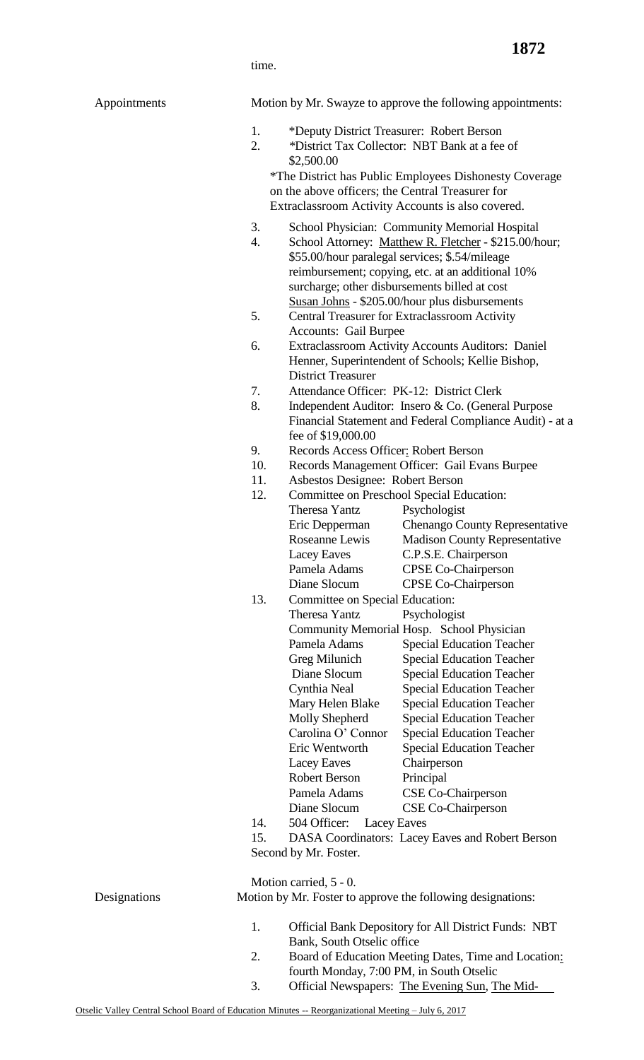time.

| Appointments |  |
|--------------|--|
|--------------|--|

Motion by Mr. Swayze to approve the following appointments:

- 1. \*Deputy District Treasurer: Robert Berson
- 2. *\**District Tax Collector: NBT Bank at a fee of \$2,500.00

\*The District has Public Employees Dishonesty Coverage on the above officers; the Central Treasurer for Extraclassroom Activity Accounts is also covered.

- 3. School Physician: Community Memorial Hospital
- 4. School Attorney: Matthew R. Fletcher \$215.00/hour; \$55.00/hour paralegal services; \$.54/mileage reimbursement; copying, etc. at an additional 10% surcharge; other disbursements billed at cost Susan Johns - \$205.00/hour plus disbursements
- 5. Central Treasurer for Extraclassroom Activity Accounts: Gail Burpee
- 6. Extraclassroom Activity Accounts Auditors: Daniel Henner, Superintendent of Schools; Kellie Bishop, District Treasurer
- 7. Attendance Officer: PK-12: District Clerk
- 8. Independent Auditor: Insero & Co. (General Purpose Financial Statement and Federal Compliance Audit) - at a fee of \$19,000.00
- 9. Records Access Officer: Robert Berson
- 10. Records Management Officer: Gail Evans Burpee
- 11. Asbestos Designee: Robert Berson

| 12. | <b>Committee on Preschool Special Education:</b> |                                           |  |
|-----|--------------------------------------------------|-------------------------------------------|--|
|     | <b>Theresa Yantz</b>                             | Psychologist                              |  |
|     | Eric Depperman                                   | <b>Chenango County Representative</b>     |  |
|     | Roseanne Lewis                                   | <b>Madison County Representative</b>      |  |
|     | <b>Lacey Eaves</b>                               | C.P.S.E. Chairperson                      |  |
|     | Pamela Adams                                     | <b>CPSE Co-Chairperson</b>                |  |
|     | Diane Slocum                                     | <b>CPSE Co-Chairperson</b>                |  |
| 13. | Committee on Special Education:                  |                                           |  |
|     | Theresa Yantz                                    | Psychologist                              |  |
|     |                                                  | Community Memorial Hosp. School Physician |  |
|     | Pamela Adams                                     | <b>Special Education Teacher</b>          |  |
|     | Greg Milunich                                    | <b>Special Education Teacher</b>          |  |
|     | Diane Slocum                                     | <b>Special Education Teacher</b>          |  |
|     | Cynthia Neal                                     | <b>Special Education Teacher</b>          |  |
|     | Mary Helen Blake                                 | <b>Special Education Teacher</b>          |  |
|     | Molly Shepherd                                   | <b>Special Education Teacher</b>          |  |
|     | Carolina O' Connor                               | <b>Special Education Teacher</b>          |  |
|     | Eric Wentworth                                   | <b>Special Education Teacher</b>          |  |
|     | Lacey Eaves                                      | Chairperson                               |  |
|     | Robert Berson                                    | Principal                                 |  |
|     | Pamela Adams                                     | CSE Co-Chairperson                        |  |
|     | Diane Slocum                                     | CSE Co-Chairperson                        |  |
| 14. | 504 Officer:                                     | Lacey Eaves                               |  |

15. DASA Coordinators: Lacey Eaves and Robert Berson Second by Mr. Foster.

Motion carried, 5 - 0.

Designations Motion by Mr. Foster to approve the following designations:

- 1. Official Bank Depository for All District Funds: NBT Bank, South Otselic office
- 2. Board of Education Meeting Dates, Time and Location: fourth Monday, 7:00 PM, in South Otselic
- 3. Official Newspapers: The Evening Sun, The Mid-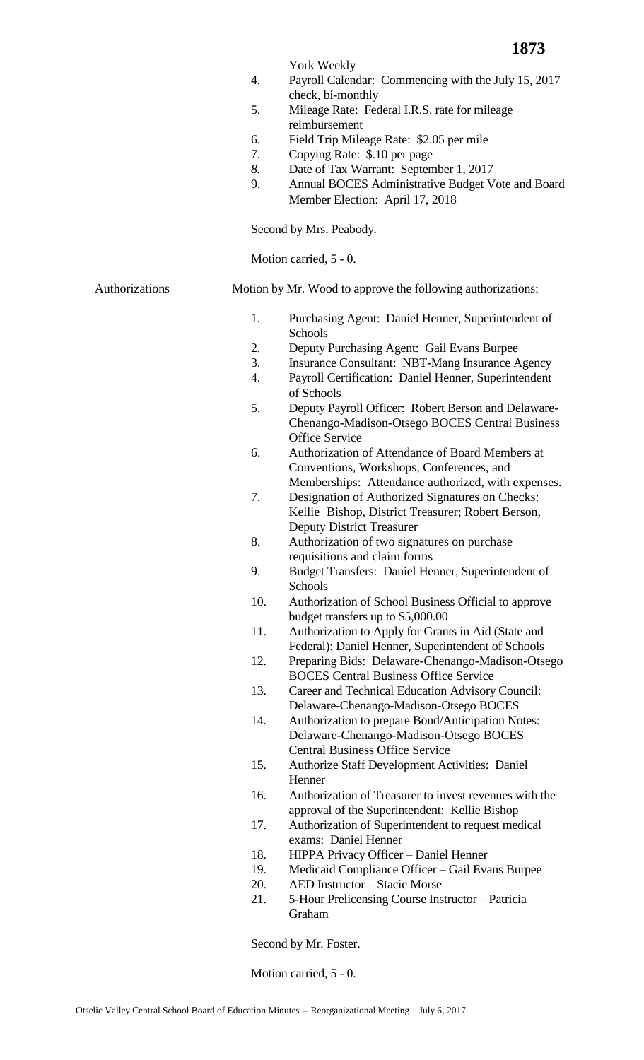## York Weekly

- 4. Payroll Calendar: Commencing with the July 15, 2017 check, bi-monthly
- 5. Mileage Rate: Federal I.R.S. rate for mileage reimbursement
- 6. Field Trip Mileage Rate: \$2.05 per mile
- 7. Copying Rate: \$.10 per page
- *8.* Date of Tax Warrant: September 1, 2017
- 9. Annual BOCES Administrative Budget Vote and Board Member Election: April 17, 2018

Second by Mrs. Peabody.

Motion carried, 5 - 0.

Authorizations Motion by Mr. Wood to approve the following authorizations:

- 1. Purchasing Agent: Daniel Henner, Superintendent of Schools
- 2. Deputy Purchasing Agent: Gail Evans Burpee
- 3. Insurance Consultant: NBT-Mang Insurance Agency
- 4. Payroll Certification: Daniel Henner, Superintendent of Schools
- 5. Deputy Payroll Officer: Robert Berson and Delaware-Chenango-Madison-Otsego BOCES Central Business Office Service
- 6. Authorization of Attendance of Board Members at Conventions, Workshops, Conferences, and Memberships: Attendance authorized, with expenses.
- 7. Designation of Authorized Signatures on Checks: Kellie Bishop, District Treasurer; Robert Berson, Deputy District Treasurer
- 8. Authorization of two signatures on purchase requisitions and claim forms
- 9. Budget Transfers: Daniel Henner, Superintendent of Schools
- 10. Authorization of School Business Official to approve budget transfers up to \$5,000.00
- 11. Authorization to Apply for Grants in Aid (State and Federal): Daniel Henner, Superintendent of Schools
- 12. Preparing Bids: Delaware-Chenango-Madison-Otsego BOCES Central Business Office Service
- 13. Career and Technical Education Advisory Council: Delaware-Chenango-Madison-Otsego BOCES
- 14. Authorization to prepare Bond/Anticipation Notes: Delaware-Chenango-Madison-Otsego BOCES Central Business Office Service
- 15. Authorize Staff Development Activities: Daniel Henner
- 16. Authorization of Treasurer to invest revenues with the approval of the Superintendent: Kellie Bishop
- 17. Authorization of Superintendent to request medical exams: Daniel Henner
- 18. HIPPA Privacy Officer Daniel Henner
- 19. Medicaid Compliance Officer Gail Evans Burpee
- 20. AED Instructor Stacie Morse
- 21. 5-Hour Prelicensing Course Instructor Patricia Graham

Second by Mr. Foster.

Motion carried, 5 - 0.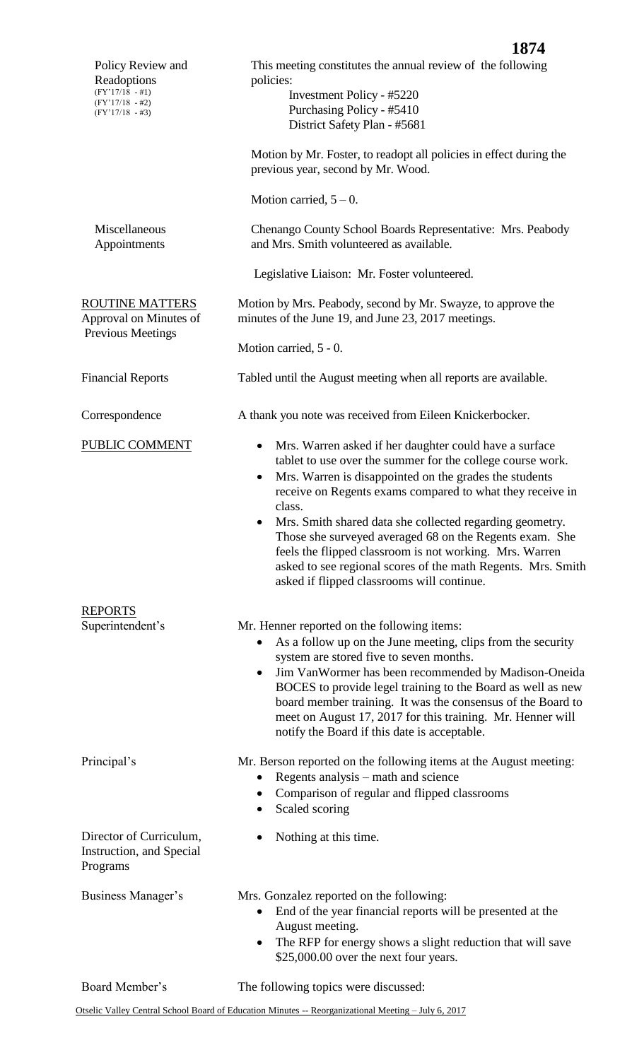|                                                                                                 | 1874                                                                                                                                                                                                                                                                                                                                                                                                                                                                                                                                                                            |  |  |
|-------------------------------------------------------------------------------------------------|---------------------------------------------------------------------------------------------------------------------------------------------------------------------------------------------------------------------------------------------------------------------------------------------------------------------------------------------------------------------------------------------------------------------------------------------------------------------------------------------------------------------------------------------------------------------------------|--|--|
| Policy Review and<br>Readoptions<br>$(FY'17/18 - #1)$<br>$(FY'17/18 - #2)$<br>$(FY'17/18 - #3)$ | This meeting constitutes the annual review of the following<br>policies:<br>Investment Policy - #5220<br>Purchasing Policy - #5410<br>District Safety Plan - #5681                                                                                                                                                                                                                                                                                                                                                                                                              |  |  |
|                                                                                                 | Motion by Mr. Foster, to readopt all policies in effect during the<br>previous year, second by Mr. Wood.                                                                                                                                                                                                                                                                                                                                                                                                                                                                        |  |  |
|                                                                                                 | Motion carried, $5 - 0$ .                                                                                                                                                                                                                                                                                                                                                                                                                                                                                                                                                       |  |  |
| Miscellaneous<br>Appointments                                                                   | Chenango County School Boards Representative: Mrs. Peabody<br>and Mrs. Smith volunteered as available.                                                                                                                                                                                                                                                                                                                                                                                                                                                                          |  |  |
|                                                                                                 | Legislative Liaison: Mr. Foster volunteered.                                                                                                                                                                                                                                                                                                                                                                                                                                                                                                                                    |  |  |
| <b>ROUTINE MATTERS</b><br>Approval on Minutes of<br>Previous Meetings                           | Motion by Mrs. Peabody, second by Mr. Swayze, to approve the<br>minutes of the June 19, and June 23, 2017 meetings.                                                                                                                                                                                                                                                                                                                                                                                                                                                             |  |  |
|                                                                                                 | Motion carried, 5 - 0.                                                                                                                                                                                                                                                                                                                                                                                                                                                                                                                                                          |  |  |
| <b>Financial Reports</b>                                                                        | Tabled until the August meeting when all reports are available.                                                                                                                                                                                                                                                                                                                                                                                                                                                                                                                 |  |  |
| Correspondence                                                                                  | A thank you note was received from Eileen Knickerbocker.                                                                                                                                                                                                                                                                                                                                                                                                                                                                                                                        |  |  |
| PUBLIC COMMENT                                                                                  | Mrs. Warren asked if her daughter could have a surface<br>$\bullet$<br>tablet to use over the summer for the college course work.<br>Mrs. Warren is disappointed on the grades the students<br>$\bullet$<br>receive on Regents exams compared to what they receive in<br>class.<br>Mrs. Smith shared data she collected regarding geometry.<br>Those she surveyed averaged 68 on the Regents exam. She<br>feels the flipped classroom is not working. Mrs. Warren<br>asked to see regional scores of the math Regents. Mrs. Smith<br>asked if flipped classrooms will continue. |  |  |
| <b>REPORTS</b><br>Superintendent's                                                              | Mr. Henner reported on the following items:<br>As a follow up on the June meeting, clips from the security<br>$\bullet$<br>system are stored five to seven months.<br>Jim VanWormer has been recommended by Madison-Oneida<br>$\bullet$<br>BOCES to provide legel training to the Board as well as new<br>board member training. It was the consensus of the Board to<br>meet on August 17, 2017 for this training. Mr. Henner will<br>notify the Board if this date is acceptable.                                                                                             |  |  |
| Principal's                                                                                     | Mr. Berson reported on the following items at the August meeting:<br>Regents analysis – math and science<br>$\bullet$<br>Comparison of regular and flipped classrooms<br>Scaled scoring                                                                                                                                                                                                                                                                                                                                                                                         |  |  |
| Director of Curriculum,<br>Instruction, and Special<br>Programs                                 | Nothing at this time.                                                                                                                                                                                                                                                                                                                                                                                                                                                                                                                                                           |  |  |
| Business Manager's                                                                              | Mrs. Gonzalez reported on the following:<br>End of the year financial reports will be presented at the<br>$\bullet$<br>August meeting.<br>The RFP for energy shows a slight reduction that will save<br>$\bullet$<br>\$25,000.00 over the next four years.                                                                                                                                                                                                                                                                                                                      |  |  |
| Board Member's                                                                                  | The following topics were discussed:                                                                                                                                                                                                                                                                                                                                                                                                                                                                                                                                            |  |  |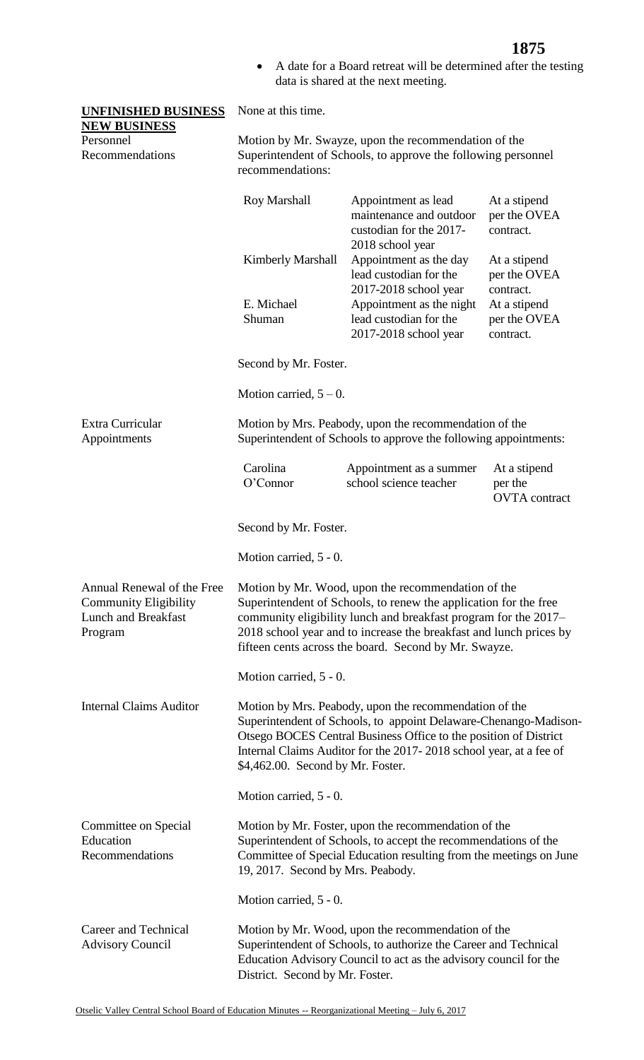A date for a Board retreat will be determined after the testing data is shared at the next meeting.

| <b>UNFINISHED BUSINESS</b><br>None at this time.<br><b>NEW BUSINESS</b>                             |                                                                                                                                                                                                                                                                                                                          |                                                                                                                            |                                                 |  |
|-----------------------------------------------------------------------------------------------------|--------------------------------------------------------------------------------------------------------------------------------------------------------------------------------------------------------------------------------------------------------------------------------------------------------------------------|----------------------------------------------------------------------------------------------------------------------------|-------------------------------------------------|--|
| Personnel<br>Recommendations                                                                        | Motion by Mr. Swayze, upon the recommendation of the<br>Superintendent of Schools, to approve the following personnel<br>recommendations:                                                                                                                                                                                |                                                                                                                            |                                                 |  |
|                                                                                                     | Roy Marshall                                                                                                                                                                                                                                                                                                             | Appointment as lead<br>maintenance and outdoor<br>custodian for the 2017-<br>2018 school year                              | At a stipend<br>per the OVEA<br>contract.       |  |
|                                                                                                     | <b>Kimberly Marshall</b>                                                                                                                                                                                                                                                                                                 | Appointment as the day<br>lead custodian for the<br>2017-2018 school year                                                  | At a stipend<br>per the OVEA<br>contract.       |  |
|                                                                                                     | E. Michael<br>Shuman                                                                                                                                                                                                                                                                                                     | Appointment as the night<br>lead custodian for the<br>2017-2018 school year                                                | At a stipend<br>per the OVEA<br>contract.       |  |
|                                                                                                     | Second by Mr. Foster.                                                                                                                                                                                                                                                                                                    |                                                                                                                            |                                                 |  |
|                                                                                                     | Motion carried, $5-0$ .                                                                                                                                                                                                                                                                                                  |                                                                                                                            |                                                 |  |
| Extra Curricular<br>Appointments                                                                    |                                                                                                                                                                                                                                                                                                                          | Motion by Mrs. Peabody, upon the recommendation of the<br>Superintendent of Schools to approve the following appointments: |                                                 |  |
|                                                                                                     | Carolina<br>O'Connor                                                                                                                                                                                                                                                                                                     | Appointment as a summer<br>school science teacher                                                                          | At a stipend<br>per the<br><b>OVTA</b> contract |  |
|                                                                                                     | Second by Mr. Foster.                                                                                                                                                                                                                                                                                                    |                                                                                                                            |                                                 |  |
|                                                                                                     | Motion carried, 5 - 0.                                                                                                                                                                                                                                                                                                   |                                                                                                                            |                                                 |  |
| Annual Renewal of the Free<br><b>Community Eligibility</b><br><b>Lunch and Breakfast</b><br>Program | Motion by Mr. Wood, upon the recommendation of the<br>Superintendent of Schools, to renew the application for the free<br>community eligibility lunch and breakfast program for the 2017–<br>2018 school year and to increase the breakfast and lunch prices by<br>fifteen cents across the board. Second by Mr. Swayze. |                                                                                                                            |                                                 |  |
|                                                                                                     | Motion carried, 5 - 0.                                                                                                                                                                                                                                                                                                   |                                                                                                                            |                                                 |  |
| <b>Internal Claims Auditor</b>                                                                      | Motion by Mrs. Peabody, upon the recommendation of the<br>Superintendent of Schools, to appoint Delaware-Chenango-Madison-<br>Otsego BOCES Central Business Office to the position of District<br>Internal Claims Auditor for the 2017-2018 school year, at a fee of<br>\$4,462.00. Second by Mr. Foster.                |                                                                                                                            |                                                 |  |
|                                                                                                     | Motion carried, 5 - 0.                                                                                                                                                                                                                                                                                                   |                                                                                                                            |                                                 |  |
| Committee on Special<br>Education<br>Recommendations                                                | Motion by Mr. Foster, upon the recommendation of the<br>Superintendent of Schools, to accept the recommendations of the<br>Committee of Special Education resulting from the meetings on June<br>19, 2017. Second by Mrs. Peabody.                                                                                       |                                                                                                                            |                                                 |  |
|                                                                                                     | Motion carried, 5 - 0.                                                                                                                                                                                                                                                                                                   |                                                                                                                            |                                                 |  |
| Career and Technical<br><b>Advisory Council</b>                                                     | Motion by Mr. Wood, upon the recommendation of the<br>Superintendent of Schools, to authorize the Career and Technical<br>Education Advisory Council to act as the advisory council for the<br>District. Second by Mr. Foster.                                                                                           |                                                                                                                            |                                                 |  |